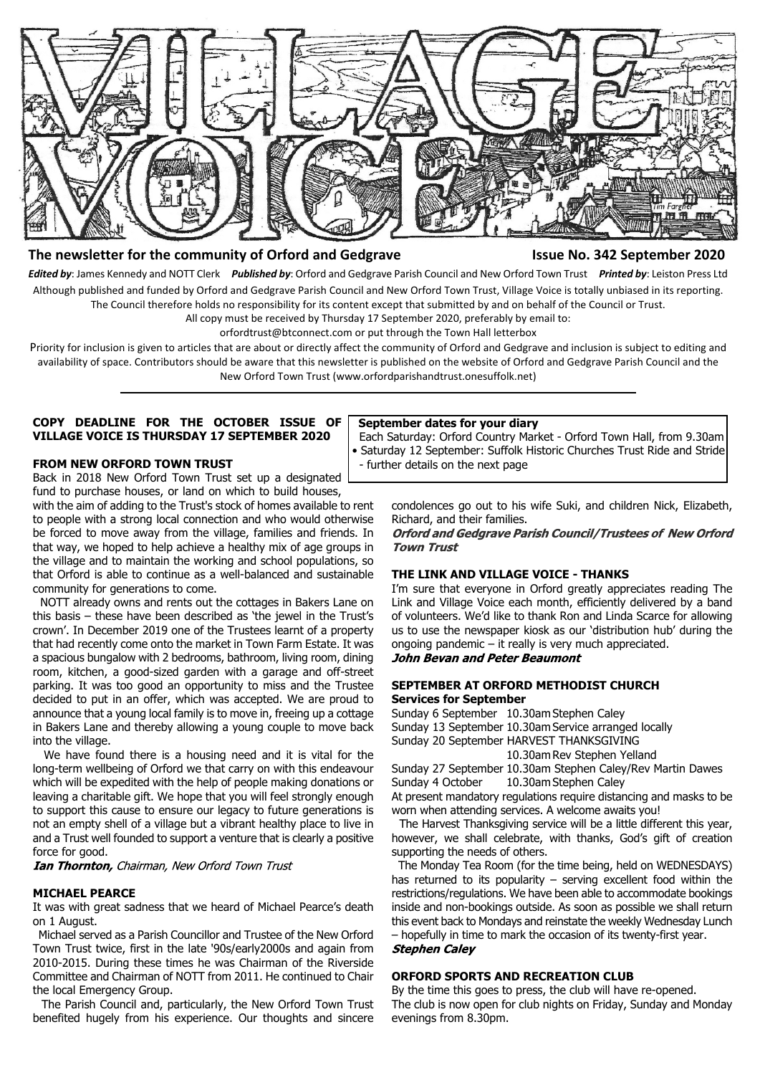

# **The newsletter for the community of Orford and Gedgrave Issue No. 342 September 2020**

*Edited by*: James Kennedy and NOTT Clerk *Published by*: Orford and Gedgrave Parish Council and New Orford Town Trust *Printed by*: Leiston Press Ltd Although published and funded by Orford and Gedgrave Parish Council and New Orford Town Trust, Village Voice is totally unbiased in its reporting. The Council therefore holds no responsibility for its content except that submitted by and on behalf of the Council or Trust.

All copy must be received by Thursday 17 September 2020, preferably by email to:

orfordtrust@btconnect.com or put through the Town Hall letterbox

Priority for inclusion is given to articles that are about or directly affect the community of Orford and Gedgrave and inclusion is subject to editing and availability of space. Contributors should be aware that this newsletter is published on the website of Orford and Gedgrave Parish Council and the New Orford Town Trust (www.orfordparishandtrust.onesuffolk.net)

### **COPY DEADLINE FOR THE OCTOBER ISSUE OF VILLAGE VOICE IS THURSDAY 17 SEPTEMBER 2020**

#### **FROM NEW ORFORD TOWN TRUST**

Back in 2018 New Orford Town Trust set up a designated fund to purchase houses, or land on which to build houses,

with the aim of adding to the Trust's stock of homes available to rent to people with a strong local connection and who would otherwise be forced to move away from the village, families and friends. In that way, we hoped to help achieve a healthy mix of age groups in the village and to maintain the working and school populations, so that Orford is able to continue as a well-balanced and sustainable community for generations to come.

 NOTT already owns and rents out the cottages in Bakers Lane on this basis – these have been described as 'the jewel in the Trust's crown'. In December 2019 one of the Trustees learnt of a property that had recently come onto the market in Town Farm Estate. It was a spacious bungalow with 2 bedrooms, bathroom, living room, dining room, kitchen, a good-sized garden with a garage and off-street parking. It was too good an opportunity to miss and the Trustee decided to put in an offer, which was accepted. We are proud to announce that a young local family is to move in, freeing up a cottage in Bakers Lane and thereby allowing a young couple to move back into the village.

We have found there is a housing need and it is vital for the long-term wellbeing of Orford we that carry on with this endeavour which will be expedited with the help of people making donations or leaving a charitable gift. We hope that you will feel strongly enough to support this cause to ensure our legacy to future generations is not an empty shell of a village but a vibrant healthy place to live in and a Trust well founded to support a venture that is clearly a positive force for good.

**Ian Thornton, Chairman, New Orford Town Trust** 

#### **MICHAEL PEARCE**

It was with great sadness that we heard of Michael Pearce's death on 1 August.

 Michael served as a Parish Councillor and Trustee of the New Orford Town Trust twice, first in the late '90s/early2000s and again from 2010-2015. During these times he was Chairman of the Riverside Committee and Chairman of NOTT from 2011. He continued to Chair the local Emergency Group.

 The Parish Council and, particularly, the New Orford Town Trust benefited hugely from his experience. Our thoughts and sincere

#### **September dates for your diary**

 Each Saturday: Orford Country Market - Orford Town Hall, from 9.30am • Saturday 12 September: Suffolk Historic Churches Trust Ride and Stride - further details on the next page

> condolences go out to his wife Suki, and children Nick, Elizabeth, Richard, and their families.

> **Orford and Gedgrave Parish Council/Trustees of New Orford Town Trust**

#### **THE LINK AND VILLAGE VOICE - THANKS**

I'm sure that everyone in Orford greatly appreciates reading The Link and Village Voice each month, efficiently delivered by a band of volunteers. We'd like to thank Ron and Linda Scarce for allowing us to use the newspaper kiosk as our 'distribution hub' during the ongoing pandemic – it really is very much appreciated. John Bevan and Peter Beaumont

## **SEPTEMBER AT ORFORD METHODIST CHURCH Services for September**

Sunday 6 September 10.30am Stephen Caley Sunday 13 September 10.30am Service arranged locally Sunday 20 September HARVEST THANKSGIVING

10.30am Rev Stephen Yelland Sunday 27 September 10.30am Stephen Caley/Rev Martin Dawes

Sunday 4 October 10.30am Stephen Caley

At present mandatory regulations require distancing and masks to be worn when attending services. A welcome awaits you!

 The Harvest Thanksgiving service will be a little different this year, however, we shall celebrate, with thanks, God's gift of creation supporting the needs of others.

 The Monday Tea Room (for the time being, held on WEDNESDAYS) has returned to its popularity  $-$  serving excellent food within the restrictions/regulations. We have been able to accommodate bookings inside and non-bookings outside. As soon as possible we shall return this event back to Mondays and reinstate the weekly Wednesday Lunch – hopefully in time to mark the occasion of its twenty-first year. **Stephen Caley** 

## **ORFORD SPORTS AND RECREATION CLUB**

By the time this goes to press, the club will have re-opened. The club is now open for club nights on Friday, Sunday and Monday evenings from 8.30pm.